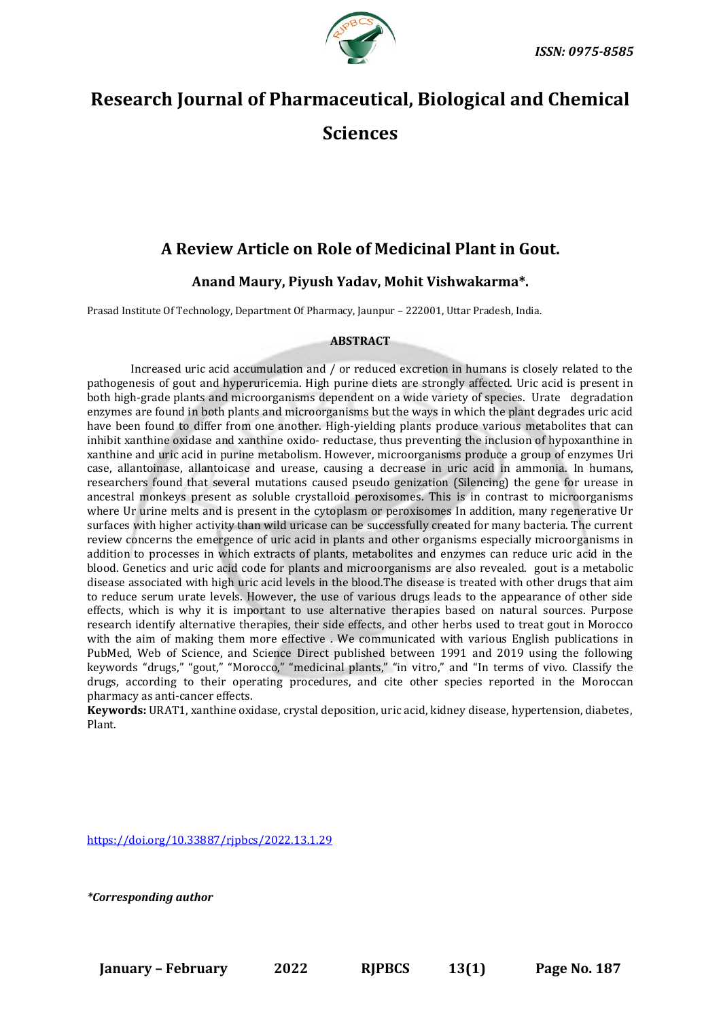

# **Research Journal of Pharmaceutical, Biological and Chemical Sciences**

# **A Review Article on Role of Medicinal Plant in Gout.**

**Anand Maury, Piyush Yadav, Mohit Vishwakarma\*.**

Prasad Institute Of Technology, Department Of Pharmacy, Jaunpur – 222001, Uttar Pradesh, India.

# **ABSTRACT**

Increased uric acid accumulation and / or reduced excretion in humans is closely related to the pathogenesis of gout and hyperuricemia. High purine diets are strongly affected. Uric acid is present in both high-grade plants and microorganisms dependent on a wide variety of species. Urate degradation enzymes are found in both plants and microorganisms but the ways in which the plant degrades uric acid have been found to differ from one another. High-yielding plants produce various metabolites that can inhibit xanthine oxidase and xanthine oxido- reductase, thus preventing the inclusion of hypoxanthine in xanthine and uric acid in purine metabolism. However, microorganisms produce a group of enzymes Uri case, allantoinase, allantoicase and urease, causing a decrease in uric acid in ammonia. In humans, researchers found that several mutations caused pseudo genization (Silencing) the gene for urease in ancestral monkeys present as soluble crystalloid peroxisomes. This is in contrast to microorganisms where Ur urine melts and is present in the cytoplasm or peroxisomes In addition, many regenerative Ur surfaces with higher activity than wild uricase can be successfully created for many bacteria. The current review concerns the emergence of uric acid in plants and other organisms especially microorganisms in addition to processes in which extracts of plants, metabolites and enzymes can reduce uric acid in the blood. Genetics and uric acid code for plants and microorganisms are also revealed. gout is a metabolic disease associated with high uric acid levels in the blood.The disease is treated with other drugs that aim to reduce serum urate levels. However, the use of various drugs leads to the appearance of other side effects, which is why it is important to use alternative therapies based on natural sources. Purpose research identify alternative therapies, their side effects, and other herbs used to treat gout in Morocco with the aim of making them more effective . We communicated with various English publications in PubMed, Web of Science, and Science Direct published between 1991 and 2019 using the following keywords "drugs," "gout," "Morocco," "medicinal plants," "in vitro," and "In terms of vivo. Classify the drugs, according to their operating procedures, and cite other species reported in the Moroccan pharmacy as anti-cancer effects.

**Keywords:** URAT1, xanthine oxidase, crystal deposition, uric acid, kidney disease, hypertension, diabetes, Plant.

[https://doi.org/10.33887/rjpbcs/2022.13.1.29](https://doi.org/10.33887/rjpbcs/2022.13.1.1)

*\*Corresponding author*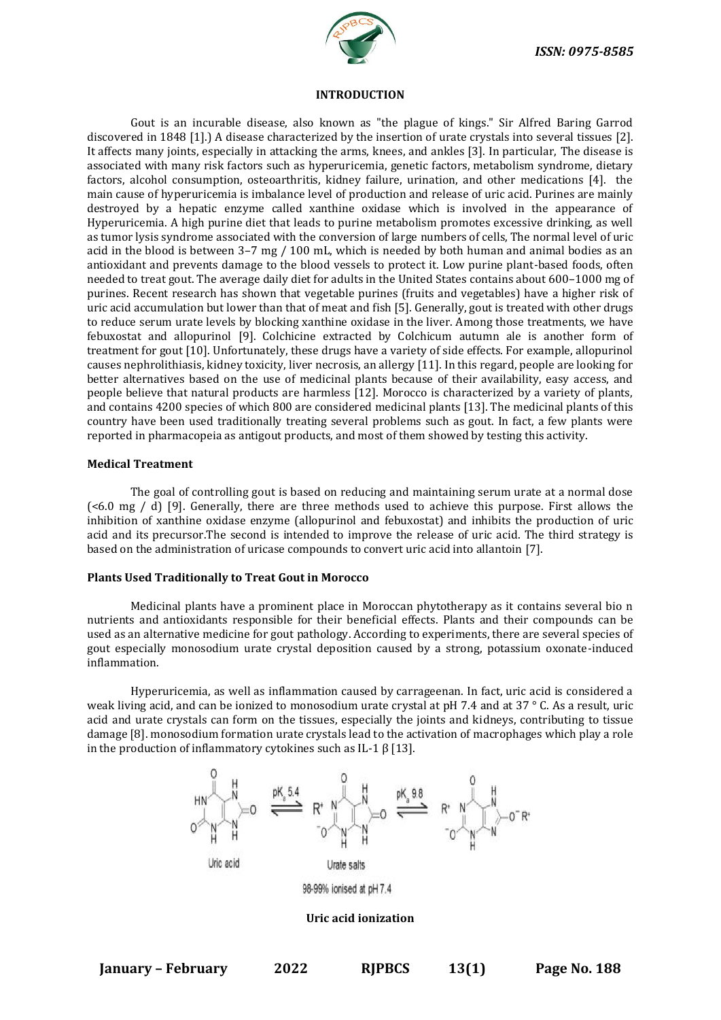

#### **INTRODUCTION**

Gout is an incurable disease, also known as "the plague of kings." Sir Alfred Baring Garrod discovered in 1848 [1].) A disease characterized by the insertion of urate crystals into several tissues [2]. It affects many joints, especially in attacking the arms, knees, and ankles [3]. In particular, The disease is associated with many risk factors such as hyperuricemia, genetic factors, metabolism syndrome, dietary factors, alcohol consumption, osteoarthritis, kidney failure, urination, and other medications [4]. the main cause of hyperuricemia is imbalance level of production and release of uric acid. Purines are mainly destroyed by a hepatic enzyme called xanthine oxidase which is involved in the appearance of Hyperuricemia. A high purine diet that leads to purine metabolism promotes excessive drinking, as well as tumor lysis syndrome associated with the conversion of large numbers of cells, The normal level of uric acid in the blood is between 3–7 mg / 100 mL, which is needed by both human and animal bodies as an antioxidant and prevents damage to the blood vessels to protect it. Low purine plant-based foods, often needed to treat gout. The average daily diet for adults in the United States contains about 600–1000 mg of purines. Recent research has shown that vegetable purines (fruits and vegetables) have a higher risk of uric acid accumulation but lower than that of meat and fish [5]. Generally, gout is treated with other drugs to reduce serum urate levels by blocking xanthine oxidase in the liver. Among those treatments, we have febuxostat and allopurinol [9]. Colchicine extracted by Colchicum autumn ale is another form of treatment for gout [10]. Unfortunately, these drugs have a variety of side effects. For example, allopurinol causes nephrolithiasis, kidney toxicity, liver necrosis, an allergy [11]. In this regard, people are looking for better alternatives based on the use of medicinal plants because of their availability, easy access, and people believe that natural products are harmless [12]. Morocco is characterized by a variety of plants, and contains 4200 species of which 800 are considered medicinal plants [13]. The medicinal plants of this country have been used traditionally treating several problems such as gout. In fact, a few plants were reported in pharmacopeia as antigout products, and most of them showed by testing this activity.

#### **Medical Treatment**

The goal of controlling gout is based on reducing and maintaining serum urate at a normal dose (<6.0 mg / d) [9]. Generally, there are three methods used to achieve this purpose. First allows the inhibition of xanthine oxidase enzyme (allopurinol and febuxostat) and inhibits the production of uric acid and its precursor.The second is intended to improve the release of uric acid. The third strategy is based on the administration of uricase compounds to convert uric acid into allantoin [7].

# **Plants Used Traditionally to Treat Gout in Morocco**

Medicinal plants have a prominent place in Moroccan phytotherapy as it contains several bio n nutrients and antioxidants responsible for their beneficial effects. Plants and their compounds can be used as an alternative medicine for gout pathology. According to experiments, there are several species of gout especially monosodium urate crystal deposition caused by a strong, potassium oxonate-induced inflammation.

Hyperuricemia, as well as inflammation caused by carrageenan. In fact, uric acid is considered a weak living acid, and can be ionized to monosodium urate crystal at pH 7.4 and at 37 ° C. As a result, uric acid and urate crystals can form on the tissues, especially the joints and kidneys, contributing to tissue damage [8]. monosodium formation urate crystals lead to the activation of macrophages which play a role in the production of inflammatory cytokines such as IL-1 β [13].



#### **Uric acid ionization**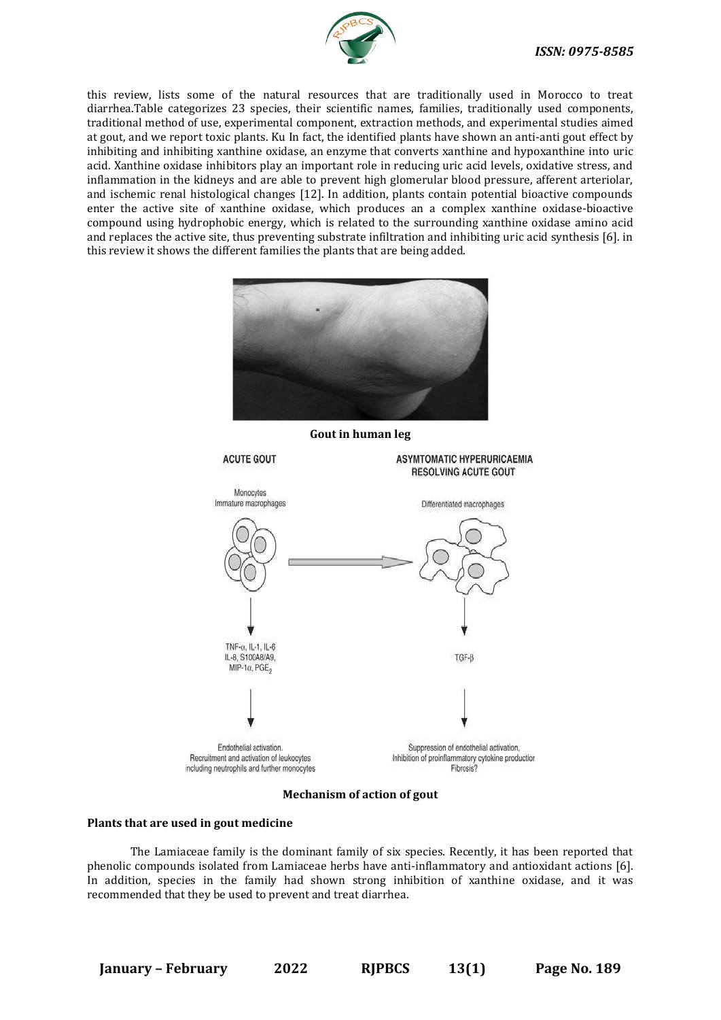

this review, lists some of the natural resources that are traditionally used in Morocco to treat diarrhea.Table categorizes 23 species, their scientific names, families, traditionally used components, traditional method of use, experimental component, extraction methods, and experimental studies aimed at gout, and we report toxic plants. Ku In fact, the identified plants have shown an anti-anti gout effect by inhibiting and inhibiting xanthine oxidase, an enzyme that converts xanthine and hypoxanthine into uric acid. Xanthine oxidase inhibitors play an important role in reducing uric acid levels, oxidative stress, and inflammation in the kidneys and are able to prevent high glomerular blood pressure, afferent arteriolar, and ischemic renal histological changes [12]. In addition, plants contain potential bioactive compounds enter the active site of xanthine oxidase, which produces an a complex xanthine oxidase-bioactive compound using hydrophobic energy, which is related to the surrounding xanthine oxidase amino acid and replaces the active site, thus preventing substrate infiltration and inhibiting uric acid synthesis [6]. in this review it shows the different families the plants that are being added.



**Gout in human leg**



# **Mechanism of action of gout**

#### **Plants that are used in gout medicine**

The Lamiaceae family is the dominant family of six species. Recently, it has been reported that phenolic compounds isolated from Lamiaceae herbs have anti-inflammatory and antioxidant actions [6]. In addition, species in the family had shown strong inhibition of xanthine oxidase, and it was recommended that they be used to prevent and treat diarrhea.

**January – February 2022 RJPBCS 13(1) Page No. 189**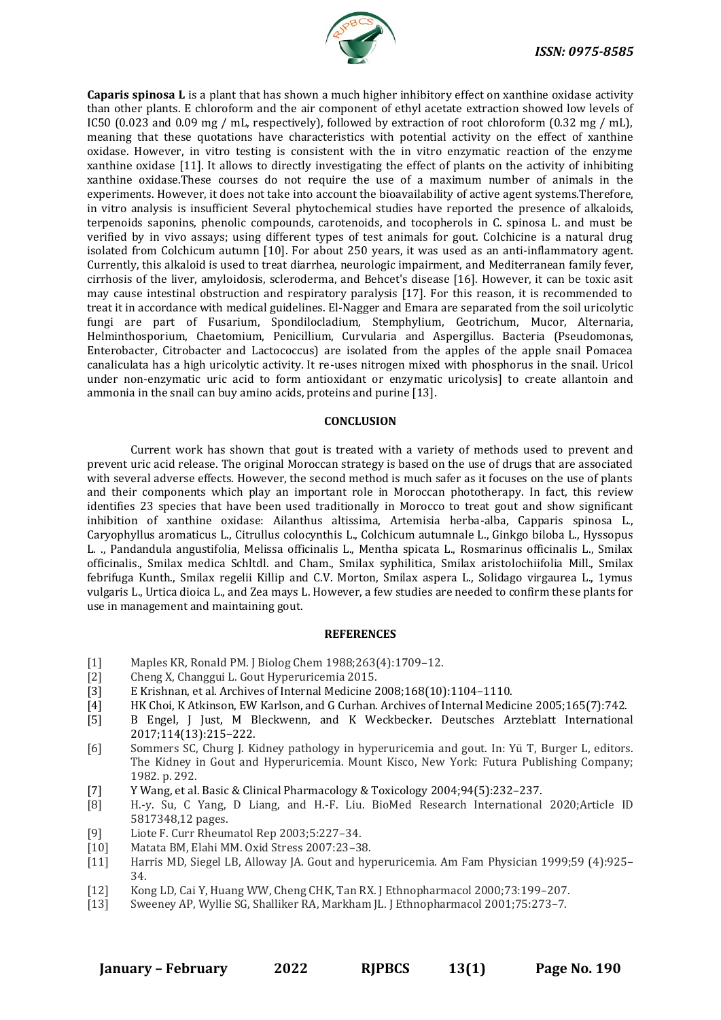

**Caparis spinosa L** is a plant that has shown a much higher inhibitory effect on xanthine oxidase activity than other plants. E chloroform and the air component of ethyl acetate extraction showed low levels of IC50 (0.023 and 0.09 mg / mL, respectively), followed by extraction of root chloroform (0.32 mg / mL), meaning that these quotations have characteristics with potential activity on the effect of xanthine oxidase. However, in vitro testing is consistent with the in vitro enzymatic reaction of the enzyme xanthine oxidase [11]. It allows to directly investigating the effect of plants on the activity of inhibiting xanthine oxidase.These courses do not require the use of a maximum number of animals in the experiments. However, it does not take into account the bioavailability of active agent systems.Therefore, in vitro analysis is insufficient Several phytochemical studies have reported the presence of alkaloids, terpenoids saponins, phenolic compounds, carotenoids, and tocopherols in C. spinosa L. and must be verified by in vivo assays; using different types of test animals for gout. Colchicine is a natural drug isolated from Colchicum autumn [10]. For about 250 years, it was used as an anti-inflammatory agent. Currently, this alkaloid is used to treat diarrhea, neurologic impairment, and Mediterranean family fever, cirrhosis of the liver, amyloidosis, scleroderma, and Behcet's disease [16]. However, it can be toxic asit may cause intestinal obstruction and respiratory paralysis [17]. For this reason, it is recommended to treat it in accordance with medical guidelines. El-Nagger and Emara are separated from the soil uricolytic fungi are part of Fusarium, Spondilocladium, Stemphylium, Geotrichum, Mucor, Alternaria, Helminthosporium, Chaetomium, Penicillium, Curvularia and Aspergillus. Bacteria (Pseudomonas, Enterobacter, Citrobacter and Lactococcus) are isolated from the apples of the apple snail Pomacea canaliculata has a high uricolytic activity. It re-uses nitrogen mixed with phosphorus in the snail. Uricol under non-enzymatic uric acid to form antioxidant or enzymatic uricolysis] to create allantoin and ammonia in the snail can buy amino acids, proteins and purine [13].

#### **CONCLUSION**

Current work has shown that gout is treated with a variety of methods used to prevent and prevent uric acid release. The original Moroccan strategy is based on the use of drugs that are associated with several adverse effects. However, the second method is much safer as it focuses on the use of plants and their components which play an important role in Moroccan phototherapy. In fact, this review identifies 23 species that have been used traditionally in Morocco to treat gout and show significant inhibition of xanthine oxidase: Ailanthus altissima, Artemisia herba-alba, Capparis spinosa L., Caryophyllus aromaticus L., Citrullus colocynthis L., Colchicum autumnale L., Ginkgo biloba L., Hyssopus L. ., Pandandula angustifolia, Melissa officinalis L., Mentha spicata L., Rosmarinus officinalis L., Smilax officinalis., Smilax medica Schltdl. and Cham., Smilax syphilitica, Smilax aristolochiifolia Mill., Smilax febrifuga Kunth., Smilax regelii Killip and C.V. Morton, Smilax aspera L., Solidago virgaurea L., 1ymus vulgaris L., Urtica dioica L., and Zea mays L. However, a few studies are needed to confirm these plants for use in management and maintaining gout.

# **REFERENCES**

- [1] Maples KR, Ronald PM. J Biolog Chem 1988;263(4):1709–12.
- [2] Cheng X, Changgui L. Gout Hyperuricemia 2015.
- [3] E Krishnan, et al. Archives of Internal Medicine 2008;168(10):1104–1110.
- [4] HK Choi, K Atkinson, EW Karlson, and G Curhan. Archives of Internal Medicine 2005;165(7):742.
- [5] B Engel, J Just, M Bleckwenn, and K Weckbecker. Deutsches Arzteblatt International 2017;114(13):215–222.
- [6] Sommers SC, Churg J. Kidney pathology in hyperuricemia and gout. In: Yü T, Burger L, editors. The Kidney in Gout and Hyperuricemia. Mount Kisco, New York: Futura Publishing Company; 1982. p. 292.
- [7] Y Wang, et al. Basic & Clinical Pharmacology & Toxicology 2004;94(5):232–237.
- [8] H.-y. Su, C Yang, D Liang, and H.-F. Liu. BioMed Research International 2020;Article ID 5817348,12 pages.
- [9] Liote F. Curr Rheumatol Rep 2003;5:227–34.
- [10] Matata BM, Elahi MM. Oxid Stress 2007:23–38.
- [11] Harris MD, Siegel LB, Alloway JA. Gout and hyperuricemia. Am Fam Physician 1999;59 (4):925– 34.
- [12] Kong LD, Cai Y, Huang WW, Cheng CHK, Tan RX. J Ethnopharmacol 2000;73:199–207.
- [13] Sweeney AP, Wyllie SG, Shalliker RA, Markham JL. J Ethnopharmacol 2001;75:273–7.

**January – February 2022 RJPBCS 13(1) Page No. 190**